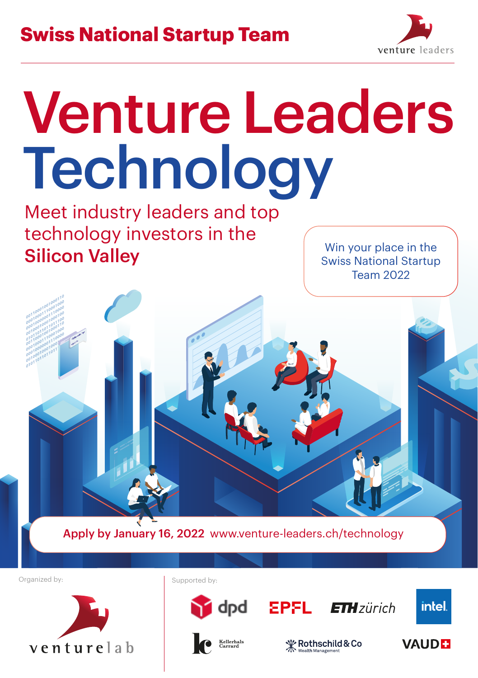

## Venture Leaders Technology

Meet industry leaders and top technology investors in the **Silicon Valley** Win your place in the

Swiss National Startup Team 2022



venturelab



**CALL**<br>Carrard



**ETH**zürich



**∜ Rothschild & Co**